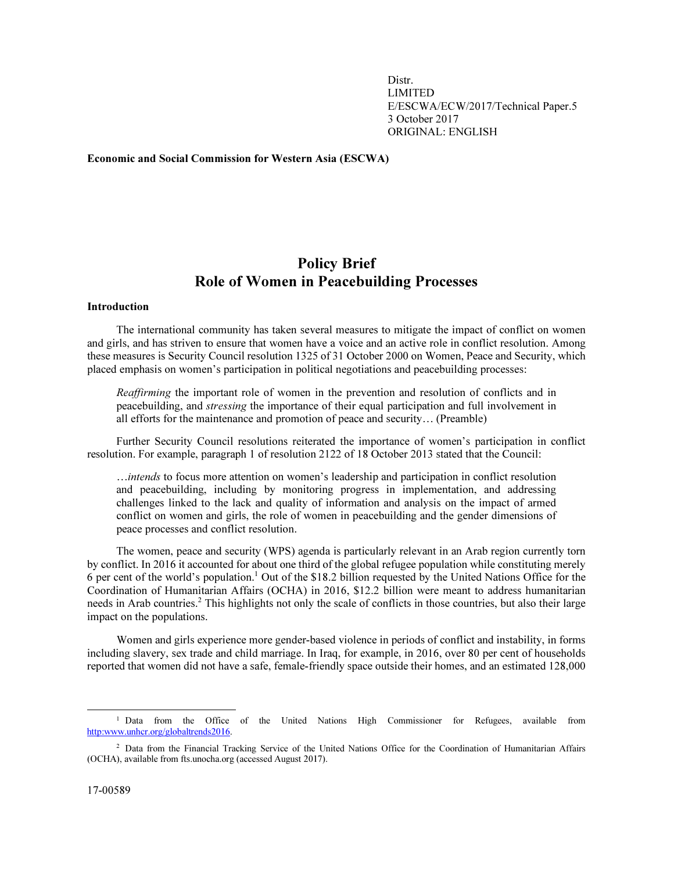Distr. LIMITED E/ESCWA/ECW/2017/Technical Paper.5 3 October 2017 ORIGINAL: ENGLISH

Economic and Social Commission for Western Asia (ESCWA)

# Policy Brief Role of Women in Peacebuilding Processes

# Introduction

 The international community has taken several measures to mitigate the impact of conflict on women and girls, and has striven to ensure that women have a voice and an active role in conflict resolution. Among these measures is Security Council resolution 1325 of 31 October 2000 on Women, Peace and Security, which placed emphasis on women's participation in political negotiations and peacebuilding processes:

*Reaffirming* the important role of women in the prevention and resolution of conflicts and in peacebuilding, and *stressing* the importance of their equal participation and full involvement in all efforts for the maintenance and promotion of peace and security… (Preamble)

 Further Security Council resolutions reiterated the importance of women's participation in conflict resolution. For example, paragraph 1 of resolution 2122 of 18 October 2013 stated that the Council:

…*intends* to focus more attention on women's leadership and participation in conflict resolution and peacebuilding, including by monitoring progress in implementation, and addressing challenges linked to the lack and quality of information and analysis on the impact of armed conflict on women and girls, the role of women in peacebuilding and the gender dimensions of peace processes and conflict resolution.

 The women, peace and security (WPS) agenda is particularly relevant in an Arab region currently torn by conflict. In 2016 it accounted for about one third of the global refugee population while constituting merely 6 per cent of the world's population.<sup>1</sup> Out of the \$18.2 billion requested by the United Nations Office for the Coordination of Humanitarian Affairs (OCHA) in 2016, \$12.2 billion were meant to address humanitarian needs in Arab countries.<sup>2</sup> This highlights not only the scale of conflicts in those countries, but also their large impact on the populations.

 Women and girls experience more gender-based violence in periods of conflict and instability, in forms including slavery, sex trade and child marriage. In Iraq, for example, in 2016, over 80 per cent of households reported that women did not have a safe, female-friendly space outside their homes, and an estimated 128,000

 $\overline{a}$ 

<sup>&</sup>lt;sup>1</sup> Data from the Office of the United Nations High Commissioner for Refugees, available from http:www.unhcr.org/globaltrends2016.

<sup>&</sup>lt;sup>2</sup> Data from the Financial Tracking Service of the United Nations Office for the Coordination of Humanitarian Affairs (OCHA), available from fts.unocha.org (accessed August 2017).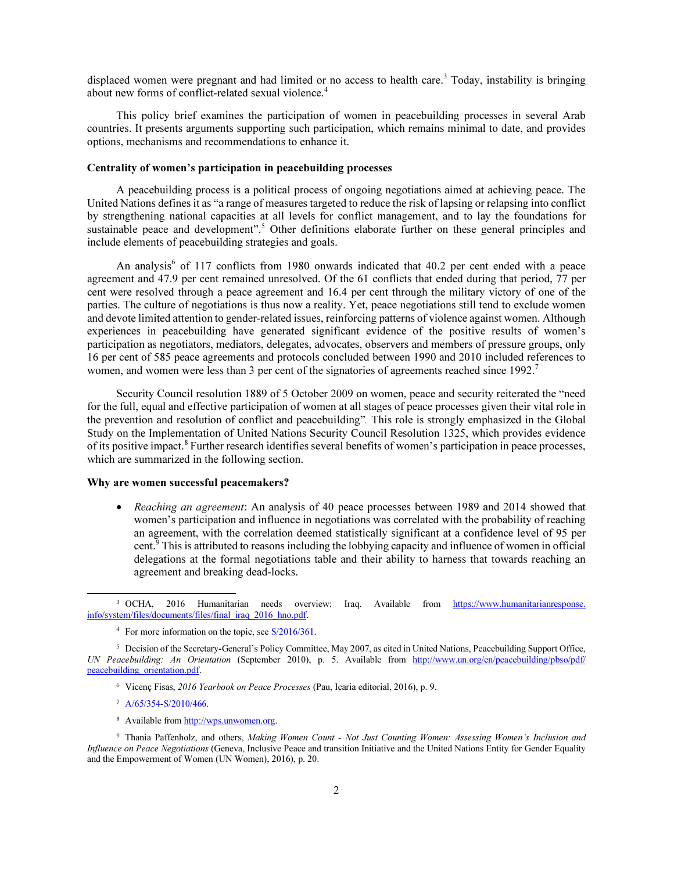displaced women were pregnant and had limited or no access to health care.<sup>3</sup> Today, instability is bringing about new forms of conflict-related sexual violence.<sup>4</sup>

 This policy brief examines the participation of women in peacebuilding processes in several Arab countries. It presents arguments supporting such participation, which remains minimal to date, and provides options, mechanisms and recommendations to enhance it.

#### Centrality of women's participation in peacebuilding processes

 A peacebuilding process is a political process of ongoing negotiations aimed at achieving peace. The United Nations defines it as "a range of measures targeted to reduce the risk of lapsing or relapsing into conflict by strengthening national capacities at all levels for conflict management, and to lay the foundations for sustainable peace and development".<sup>5</sup> Other definitions elaborate further on these general principles and include elements of peacebuilding strategies and goals.

An analysis<sup>6</sup> of 117 conflicts from 1980 onwards indicated that 40.2 per cent ended with a peace agreement and 47.9 per cent remained unresolved. Of the 61 conflicts that ended during that period, 77 per cent were resolved through a peace agreement and 16.4 per cent through the military victory of one of the parties. The culture of negotiations is thus now a reality. Yet, peace negotiations still tend to exclude women and devote limited attention to gender-related issues, reinforcing patterns of violence against women. Although experiences in peacebuilding have generated significant evidence of the positive results of women's participation as negotiators, mediators, delegates, advocates, observers and members of pressure groups, only 16 per cent of 585 peace agreements and protocols concluded between 1990 and 2010 included references to women, and women were less than 3 per cent of the signatories of agreements reached since  $1992$ .<sup>7</sup>

 Security Council resolution 1889 of 5 October 2009 on women, peace and security reiterated the "need for the full, equal and effective participation of women at all stages of peace processes given their vital role in the prevention and resolution of conflict and peacebuilding"*.* This role is strongly emphasized in the Global Study on the Implementation of United Nations Security Council Resolution 1325, which provides evidence of its positive impact.<sup>8</sup> Further research identifies several benefits of women's participation in peace processes, which are summarized in the following section.

## Why are women successful peacemakers?

• *Reaching an agreement*: An analysis of 40 peace processes between 1989 and 2014 showed that women's participation and influence in negotiations was correlated with the probability of reaching an agreement, with the correlation deemed statistically significant at a confidence level of 95 per cent.<sup>9</sup> This is attributed to reasons including the lobbying capacity and influence of women in official delegations at the formal negotiations table and their ability to harness that towards reaching an agreement and breaking dead-locks.

<sup>7</sup> A/65/354-S/2010/466.

 $\overline{a}$ 

<sup>8</sup> Available from http://wps.unwomen.org.

 $3$  OCHA. 2016 Humanitarian needs overview: Iraq. Available from https://www.humanitarianresponse. info/system/files/documents/files/final\_iraq\_2016\_hno.pdf.

<sup>&</sup>lt;sup>4</sup> For more information on the topic, see S/2016/361.

<sup>&</sup>lt;sup>5</sup> Decision of the Secretary-General's Policy Committee, May 2007, as cited in United Nations, Peacebuilding Support Office, UN Peacebuilding: An Orientation (September 2010), p. 5. Available from http://www.un.org/en/peacebuilding/pbso/pdf/ peacebuilding\_orientation.pdf.

<sup>&</sup>lt;sup>6</sup> Vicenç Fisas, 2016 Yearbook on Peace Processes (Pau, Icaria editorial, 2016), p. 9.

<sup>&</sup>lt;sup>9</sup> Thania Paffenholz, and others, Making Women Count - Not Just Counting Women: Assessing Women's Inclusion and Influence on Peace Negotiations (Geneva, Inclusive Peace and transition Initiative and the United Nations Entity for Gender Equality and the Empowerment of Women (UN Women), 2016), p. 20.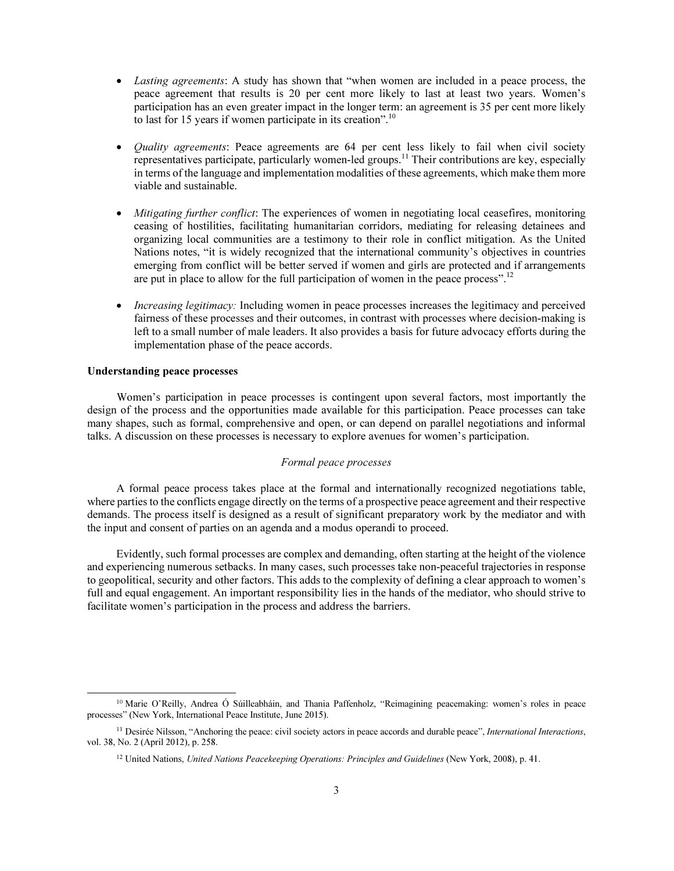- *Lasting agreements*: A study has shown that "when women are included in a peace process, the peace agreement that results is 20 per cent more likely to last at least two years. Women's participation has an even greater impact in the longer term: an agreement is 35 per cent more likely to last for 15 years if women participate in its creation".<sup>10</sup>
- *Quality agreements*: Peace agreements are 64 per cent less likely to fail when civil society representatives participate, particularly women-led groups.<sup>11</sup> Their contributions are key, especially in terms of the language and implementation modalities of these agreements, which make them more viable and sustainable.
- *Mitigating further conflict*: The experiences of women in negotiating local ceasefires, monitoring ceasing of hostilities, facilitating humanitarian corridors, mediating for releasing detainees and organizing local communities are a testimony to their role in conflict mitigation. As the United Nations notes, "it is widely recognized that the international community's objectives in countries emerging from conflict will be better served if women and girls are protected and if arrangements are put in place to allow for the full participation of women in the peace process".<sup>12</sup>
- *Increasing legitimacy:* Including women in peace processes increases the legitimacy and perceived fairness of these processes and their outcomes, in contrast with processes where decision-making is left to a small number of male leaders. It also provides a basis for future advocacy efforts during the implementation phase of the peace accords.

#### Understanding peace processes

 $\overline{a}$ 

 Women's participation in peace processes is contingent upon several factors, most importantly the design of the process and the opportunities made available for this participation. Peace processes can take many shapes, such as formal, comprehensive and open, or can depend on parallel negotiations and informal talks. A discussion on these processes is necessary to explore avenues for women's participation.

# *Formal peace processes*

 A formal peace process takes place at the formal and internationally recognized negotiations table, where parties to the conflicts engage directly on the terms of a prospective peace agreement and their respective demands. The process itself is designed as a result of significant preparatory work by the mediator and with the input and consent of parties on an agenda and a modus operandi to proceed.

 Evidently, such formal processes are complex and demanding, often starting at the height of the violence and experiencing numerous setbacks. In many cases, such processes take non-peaceful trajectories in response to geopolitical, security and other factors. This adds to the complexity of defining a clear approach to women's full and equal engagement. An important responsibility lies in the hands of the mediator, who should strive to facilitate women's participation in the process and address the barriers.

<sup>&</sup>lt;sup>10</sup> Marie O'Reilly, Andrea Ó Súilleabháin, and Thania Paffenholz, "Reimagining peacemaking: women's roles in peace processes" (New York, International Peace Institute, June 2015).

<sup>&</sup>lt;sup>11</sup> Desirée Nilsson, "Anchoring the peace: civil society actors in peace accords and durable peace", *International Interactions*, vol. 38, No. 2 (April 2012), p. 258.

<sup>&</sup>lt;sup>12</sup> United Nations, United Nations Peacekeeping Operations: Principles and Guidelines (New York, 2008), p. 41.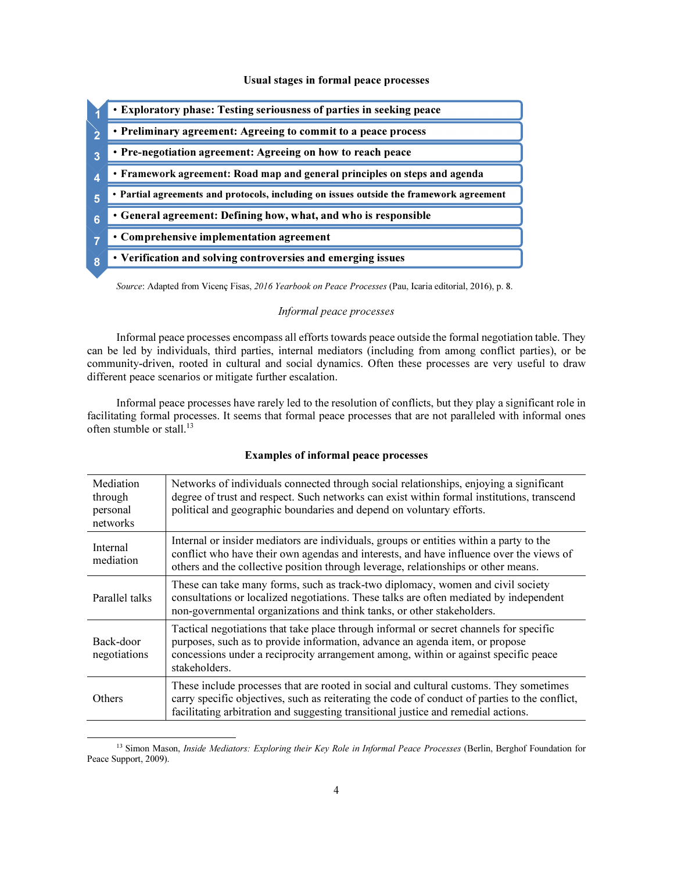#### Usual stages in formal peace processes



Source: Adapted from Vicenç Fisas, 2016 Yearbook on Peace Processes (Pau, Icaria editorial, 2016), p. 8.

## Informal peace processes

 Informal peace processes encompass all efforts towards peace outside the formal negotiation table. They can be led by individuals, third parties, internal mediators (including from among conflict parties), or be community-driven, rooted in cultural and social dynamics. Often these processes are very useful to draw different peace scenarios or mitigate further escalation.

 Informal peace processes have rarely led to the resolution of conflicts, but they play a significant role in facilitating formal processes. It seems that formal peace processes that are not paralleled with informal ones often stumble or stall.<sup>13</sup>

#### Examples of informal peace processes

| Mediation<br>through<br>personal<br>networks | Networks of individuals connected through social relationships, enjoying a significant<br>degree of trust and respect. Such networks can exist within formal institutions, transcend<br>political and geographic boundaries and depend on voluntary efforts.                   |
|----------------------------------------------|--------------------------------------------------------------------------------------------------------------------------------------------------------------------------------------------------------------------------------------------------------------------------------|
| Internal<br>mediation                        | Internal or insider mediators are individuals, groups or entities within a party to the<br>conflict who have their own agendas and interests, and have influence over the views of<br>others and the collective position through leverage, relationships or other means.       |
| Parallel talks                               | These can take many forms, such as track-two diplomacy, women and civil society<br>consultations or localized negotiations. These talks are often mediated by independent<br>non-governmental organizations and think tanks, or other stakeholders.                            |
| Back-door<br>negotiations                    | Tactical negotiations that take place through informal or secret channels for specific<br>purposes, such as to provide information, advance an agenda item, or propose<br>concessions under a reciprocity arrangement among, within or against specific peace<br>stakeholders. |
| <b>Others</b>                                | These include processes that are rooted in social and cultural customs. They sometimes<br>carry specific objectives, such as reiterating the code of conduct of parties to the conflict,<br>facilitating arbitration and suggesting transitional justice and remedial actions. |

<sup>&</sup>lt;sup>13</sup> Simon Mason, *Inside Mediators: Exploring their Key Role in Informal Peace Processes* (Berlin, Berghof Foundation for Peace Support, 2009).

 $\overline{a}$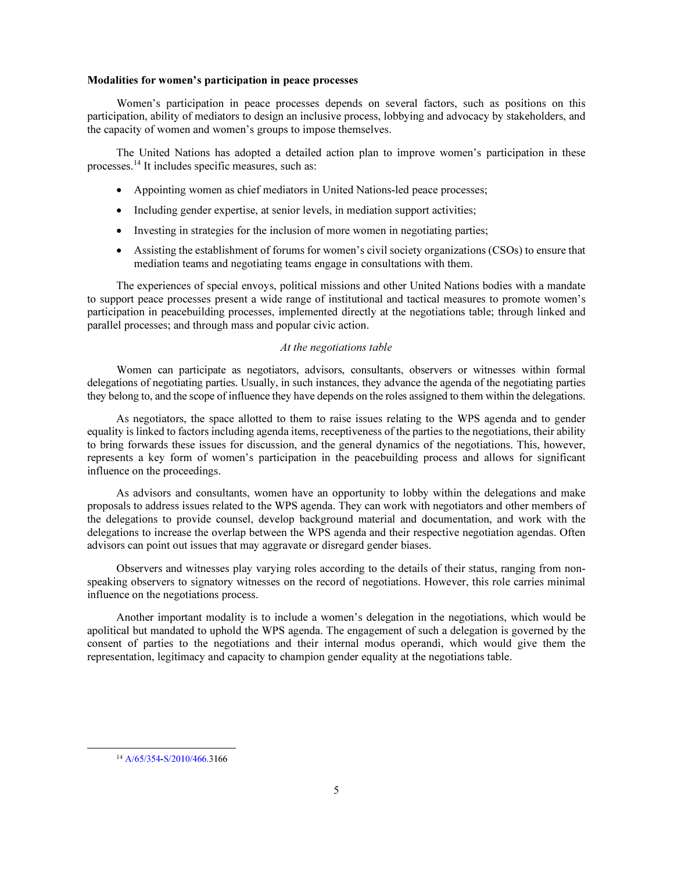#### Modalities for women's participation in peace processes

 Women's participation in peace processes depends on several factors, such as positions on this participation, ability of mediators to design an inclusive process, lobbying and advocacy by stakeholders, and the capacity of women and women's groups to impose themselves.

 The United Nations has adopted a detailed action plan to improve women's participation in these processes.<sup>14</sup> It includes specific measures, such as:

- Appointing women as chief mediators in United Nations-led peace processes;
- Including gender expertise, at senior levels, in mediation support activities;
- Investing in strategies for the inclusion of more women in negotiating parties;
- Assisting the establishment of forums for women's civil society organizations (CSOs) to ensure that mediation teams and negotiating teams engage in consultations with them.

 The experiences of special envoys, political missions and other United Nations bodies with a mandate to support peace processes present a wide range of institutional and tactical measures to promote women's participation in peacebuilding processes, implemented directly at the negotiations table; through linked and parallel processes; and through mass and popular civic action.

## *At the negotiations table*

 Women can participate as negotiators, advisors, consultants, observers or witnesses within formal delegations of negotiating parties. Usually, in such instances, they advance the agenda of the negotiating parties they belong to, and the scope of influence they have depends on the roles assigned to them within the delegations.

 As negotiators, the space allotted to them to raise issues relating to the WPS agenda and to gender equality is linked to factors including agenda items, receptiveness of the parties to the negotiations, their ability to bring forwards these issues for discussion, and the general dynamics of the negotiations. This, however, represents a key form of women's participation in the peacebuilding process and allows for significant influence on the proceedings.

 As advisors and consultants, women have an opportunity to lobby within the delegations and make proposals to address issues related to the WPS agenda. They can work with negotiators and other members of the delegations to provide counsel, develop background material and documentation, and work with the delegations to increase the overlap between the WPS agenda and their respective negotiation agendas. Often advisors can point out issues that may aggravate or disregard gender biases.

 Observers and witnesses play varying roles according to the details of their status, ranging from nonspeaking observers to signatory witnesses on the record of negotiations. However, this role carries minimal influence on the negotiations process.

 Another important modality is to include a women's delegation in the negotiations, which would be apolitical but mandated to uphold the WPS agenda. The engagement of such a delegation is governed by the consent of parties to the negotiations and their internal modus operandi, which would give them the representation, legitimacy and capacity to champion gender equality at the negotiations table.

 $\overline{a}$ 

<sup>14</sup>A/65/354-S/2010/466.3166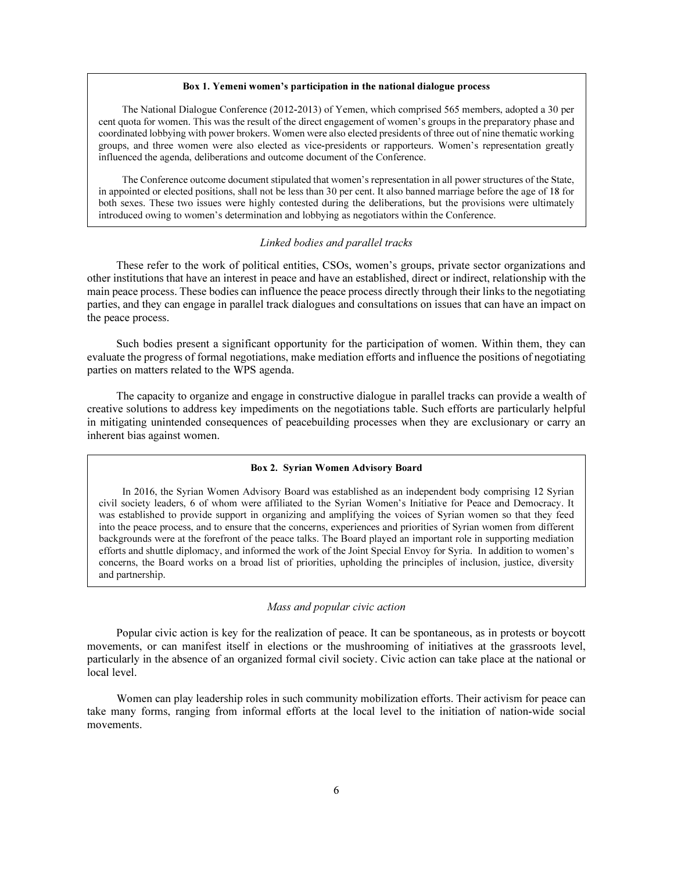#### Box 1. Yemeni women's participation in the national dialogue process

 The National Dialogue Conference (2012-2013) of Yemen, which comprised 565 members, adopted a 30 per cent quota for women. This was the result of the direct engagement of women's groups in the preparatory phase and coordinated lobbying with power brokers. Women were also elected presidents of three out of nine thematic working groups, and three women were also elected as vice-presidents or rapporteurs. Women's representation greatly influenced the agenda, deliberations and outcome document of the Conference.

 The Conference outcome document stipulated that women's representation in all power structures of the State, in appointed or elected positions, shall not be less than 30 per cent. It also banned marriage before the age of 18 for both sexes. These two issues were highly contested during the deliberations, but the provisions were ultimately introduced owing to women's determination and lobbying as negotiators within the Conference.

## *Linked bodies and parallel tracks*

 These refer to the work of political entities, CSOs, women's groups, private sector organizations and other institutions that have an interest in peace and have an established, direct or indirect, relationship with the main peace process. These bodies can influence the peace process directly through their links to the negotiating parties, and they can engage in parallel track dialogues and consultations on issues that can have an impact on the peace process.

 Such bodies present a significant opportunity for the participation of women. Within them, they can evaluate the progress of formal negotiations, make mediation efforts and influence the positions of negotiating parties on matters related to the WPS agenda.

 The capacity to organize and engage in constructive dialogue in parallel tracks can provide a wealth of creative solutions to address key impediments on the negotiations table. Such efforts are particularly helpful in mitigating unintended consequences of peacebuilding processes when they are exclusionary or carry an inherent bias against women.

## Box 2. Syrian Women Advisory Board

 In 2016, the Syrian Women Advisory Board was established as an independent body comprising 12 Syrian civil society leaders, 6 of whom were affiliated to the Syrian Women's Initiative for Peace and Democracy. It was established to provide support in organizing and amplifying the voices of Syrian women so that they feed into the peace process, and to ensure that the concerns, experiences and priorities of Syrian women from different backgrounds were at the forefront of the peace talks. The Board played an important role in supporting mediation efforts and shuttle diplomacy, and informed the work of the Joint Special Envoy for Syria. In addition to women's concerns, the Board works on a broad list of priorities, upholding the principles of inclusion, justice, diversity and partnership.

#### *Mass and popular civic action*

 Popular civic action is key for the realization of peace. It can be spontaneous, as in protests or boycott movements, or can manifest itself in elections or the mushrooming of initiatives at the grassroots level, particularly in the absence of an organized formal civil society. Civic action can take place at the national or local level.

 Women can play leadership roles in such community mobilization efforts. Their activism for peace can take many forms, ranging from informal efforts at the local level to the initiation of nation-wide social movements.